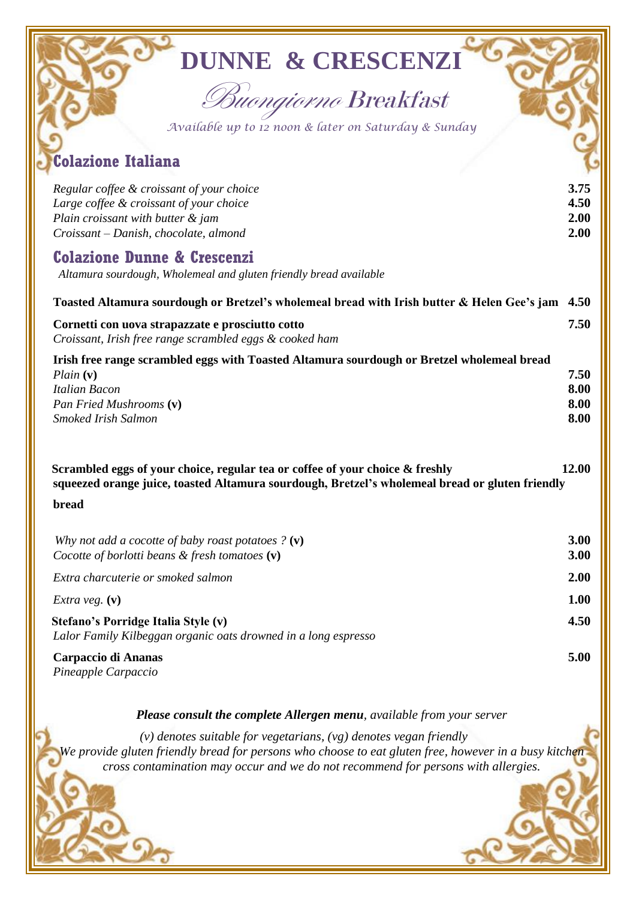| <b>DUNNE &amp; CRESCENZI</b><br>Buongiorno Breakfast<br>Available up to 12 noon & later on Saturday & Sunday<br><b>Colazione Italiana</b>                                                 |                              |
|-------------------------------------------------------------------------------------------------------------------------------------------------------------------------------------------|------------------------------|
| Regular coffee & croissant of your choice<br>Large coffee & croissant of your choice<br>Plain croissant with butter & jam<br>Croissant - Danish, chocolate, almond                        | 3.75<br>4.50<br>2.00<br>2.00 |
| <b>Colazione Dunne &amp; Crescenzi</b><br>Altamura sourdough, Wholemeal and gluten friendly bread available                                                                               |                              |
| Toasted Altamura sourdough or Bretzel's wholemeal bread with Irish butter & Helen Gee's jam                                                                                               | 4.50                         |
| Cornetti con uova strapazzate e prosciutto cotto<br>Croissant, Irish free range scrambled eggs & cooked ham                                                                               | 7.50                         |
| Irish free range scrambled eggs with Toasted Altamura sourdough or Bretzel wholemeal bread<br>$Plain$ (v)<br><b>Italian Bacon</b><br>Pan Fried Mushrooms (v)<br>Smoked Irish Salmon       | 7.50<br>8.00<br>8.00<br>8.00 |
| Scrambled eggs of your choice, regular tea or coffee of your choice & freshly<br>squeezed orange juice, toasted Altamura sourdough, Bretzel's wholemeal bread or gluten friendly<br>bread | 12.00                        |
| Why not add a cocotte of baby roast potatoes $? (v)$<br>Cocotte of borlotti beans $\&$ fresh tomatoes $(v)$                                                                               | 3.00<br>3.00                 |
| Extra charcuterie or smoked salmon                                                                                                                                                        | 2.00                         |
| <i>Extra veg.</i> $(v)$                                                                                                                                                                   | 1.00                         |
| Stefano's Porridge Italia Style (v)<br>Lalor Family Kilbeggan organic oats drowned in a long espresso                                                                                     | 4.50                         |
| Carpaccio di Ananas<br>Pineapple Carpaccio                                                                                                                                                | 5.00                         |
| Please consult the complete Allergen menu, available from your server                                                                                                                     |                              |

 *(v) denotes suitable for vegetarians, (vg) denotes vegan friendly We provide gluten friendly bread for persons who choose to eat gluten free, however in a busy kitchen cross contamination may occur and we do not recommend for persons with allergies.*